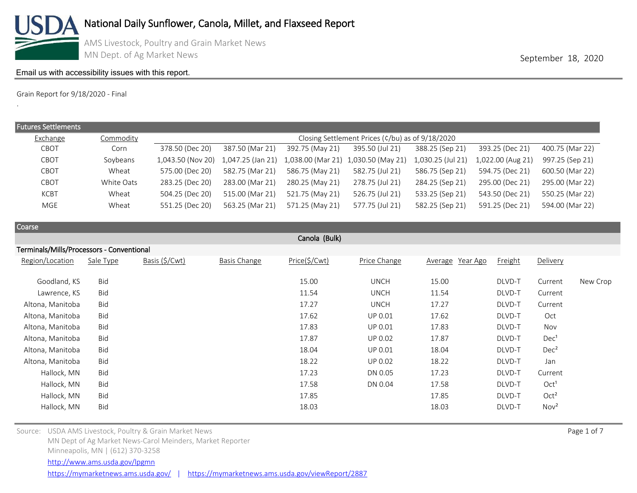

.

AMS Livestock, Poultry and Grain Market News MN Dept. of Ag Market News **September 18, 2020** 

### [Email us with accessibility issues with this report.](mailto:mars@ams.usda.gov?subjectNot%20able%20to%20access%20video%20auction%20report)

Grain Report for 9/18/2020 - Final

| <b>Futures Settlements</b> |            |                                     |                                                  |                                     |                 |                   |                   |                 |  |  |  |
|----------------------------|------------|-------------------------------------|--------------------------------------------------|-------------------------------------|-----------------|-------------------|-------------------|-----------------|--|--|--|
| Exchange                   | Commodity  |                                     | Closing Settlement Prices (¢/bu) as of 9/18/2020 |                                     |                 |                   |                   |                 |  |  |  |
| CBOT                       | Corn       | 378.50 (Dec 20)                     | 387.50 (Mar 21)                                  | 392.75 (May 21)                     | 395.50 (Jul 21) | 388.25 (Sep 21)   | 393.25 (Dec 21)   | 400.75 (Mar 22) |  |  |  |
| CBOT                       | Soybeans   | 1,043.50 (Nov 20) 1,047.25 (Jan 21) |                                                  | 1,038.00 (Mar 21) 1,030.50 (May 21) |                 | 1,030.25 (Jul 21) | 1,022.00 (Aug 21) | 997.25 (Sep 21) |  |  |  |
| CBOT                       | Wheat      | 575.00 (Dec 20)                     | 582.75 (Mar 21)                                  | 586.75 (May 21)                     | 582.75 (Jul 21) | 586.75 (Sep 21)   | 594.75 (Dec 21)   | 600.50 (Mar 22) |  |  |  |
| CBOT                       | White Oats | 283.25 (Dec 20)                     | 283.00 (Mar 21)                                  | 280.25 (May 21)                     | 278.75 (Jul 21) | 284.25 (Sep 21)   | 295.00 (Dec 21)   | 295.00 (Mar 22) |  |  |  |
| <b>KCBT</b>                | Wheat      | 504.25 (Dec 20)                     | 515.00 (Mar 21)                                  | 521.75 (May 21)                     | 526.75 (Jul 21) | 533.25 (Sep 21)   | 543.50 (Dec 21)   | 550.25 (Mar 22) |  |  |  |
| MGE                        | Wheat      | 551.25 (Dec 20)                     | 563.25 (Mar 21)                                  | 571.25 (May 21)                     | 577.75 (Jul 21) | 582.25 (Sep 21)   | 591.25 (Dec 21)   | 594.00 (Mar 22) |  |  |  |

| Coarse                                    |            |                |                     |               |                |                  |         |                  |          |  |  |
|-------------------------------------------|------------|----------------|---------------------|---------------|----------------|------------------|---------|------------------|----------|--|--|
| Canola (Bulk)                             |            |                |                     |               |                |                  |         |                  |          |  |  |
| Terminals/Mills/Processors - Conventional |            |                |                     |               |                |                  |         |                  |          |  |  |
| Region/Location                           | Sale Type  | Basis (\$/Cwt) | <b>Basis Change</b> | Price(\$/Cwt) | Price Change   | Average Year Ago | Freight | Delivery         |          |  |  |
| Goodland, KS                              | Bid        |                |                     | 15.00         | <b>UNCH</b>    | 15.00            | DLVD-T  | Current          | New Crop |  |  |
| Lawrence, KS                              | Bid        |                |                     | 11.54         | <b>UNCH</b>    | 11.54            | DLVD-T  | Current          |          |  |  |
| Altona, Manitoba                          | Bid        |                |                     | 17.27         | <b>UNCH</b>    | 17.27            | DLVD-T  | Current          |          |  |  |
| Altona, Manitoba                          | Bid        |                |                     | 17.62         | UP 0.01        | 17.62            | DLVD-T  | Oct              |          |  |  |
| Altona, Manitoba                          | Bid        |                |                     | 17.83         | UP 0.01        | 17.83            | DLVD-T  | Nov              |          |  |  |
| Altona, Manitoba                          | Bid        |                |                     | 17.87         | <b>UP 0.02</b> | 17.87            | DLVD-T  | Dec <sup>1</sup> |          |  |  |
| Altona, Manitoba                          | Bid        |                |                     | 18.04         | UP 0.01        | 18.04            | DLVD-T  | Dec <sup>2</sup> |          |  |  |
| Altona, Manitoba                          | Bid        |                |                     | 18.22         | <b>UP 0.02</b> | 18.22            | DLVD-T  | Jan              |          |  |  |
| Hallock, MN                               | Bid        |                |                     | 17.23         | DN 0.05        | 17.23            | DLVD-T  | Current          |          |  |  |
| Hallock, MN                               | Bid        |                |                     | 17.58         | DN 0.04        | 17.58            | DLVD-T  | Oct <sup>1</sup> |          |  |  |
| Hallock, MN                               | Bid        |                |                     | 17.85         |                | 17.85            | DLVD-T  | Oct <sup>2</sup> |          |  |  |
| Hallock, MN                               | <b>Bid</b> |                |                     | 18.03         |                | 18.03            | DLVD-T  | Nov <sup>2</sup> |          |  |  |

Source: USDA AMS Livestock, Poultry & Grain Market News Page 1 of 7 (Separation 2) and the USDA AMS Livestock, Poultry & Grain Market News Page 1 of 7 MN Dept of Ag Market News-Carol Meinders, Market Reporter Minneapolis, MN | (612) 370-3258 <https://mymarketnews.ams.usda.gov/> | <https://mymarketnews.ams.usda.gov/viewReport/2887> <http://www.ams.usda.gov/lpgmn>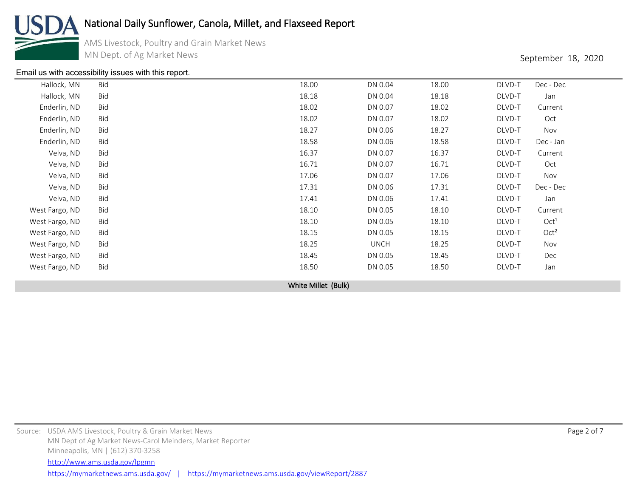

AMS Livestock, Poultry and Grain Market News MN Dept. of Ag Market News **September 18, 2020** 

#### [Email us with accessibility issues with this report.](mailto:mars@ams.usda.gov?subjectNot%20able%20to%20access%20video%20auction%20report)

| Hallock, MN    | Bid | 18.00 | DN 0.04     | 18.00 | DLVD-T | Dec - Dec        |  |
|----------------|-----|-------|-------------|-------|--------|------------------|--|
| Hallock, MN    | Bid | 18.18 | DN 0.04     | 18.18 | DLVD-T | Jan              |  |
| Enderlin, ND   | Bid | 18.02 | DN 0.07     | 18.02 | DLVD-T | Current          |  |
| Enderlin, ND   | Bid | 18.02 | DN 0.07     | 18.02 | DLVD-T | Oct              |  |
| Enderlin, ND   | Bid | 18.27 | DN 0.06     | 18.27 | DLVD-T | Nov              |  |
| Enderlin, ND   | Bid | 18.58 | DN 0.06     | 18.58 | DLVD-T | Dec - Jan        |  |
| Velva, ND      | Bid | 16.37 | DN 0.07     | 16.37 | DLVD-T | Current          |  |
| Velva, ND      | Bid | 16.71 | DN 0.07     | 16.71 | DLVD-T | Oct              |  |
| Velva, ND      | Bid | 17.06 | DN 0.07     | 17.06 | DLVD-T | Nov              |  |
| Velva, ND      | Bid | 17.31 | DN 0.06     | 17.31 | DLVD-T | Dec - Dec        |  |
| Velva, ND      | Bid | 17.41 | DN 0.06     | 17.41 | DLVD-T | Jan              |  |
| West Fargo, ND | Bid | 18.10 | DN 0.05     | 18.10 | DLVD-T | Current          |  |
| West Fargo, ND | Bid | 18.10 | DN 0.05     | 18.10 | DLVD-T | Oct <sup>1</sup> |  |
| West Fargo, ND | Bid | 18.15 | DN 0.05     | 18.15 | DLVD-T | Oct <sup>2</sup> |  |
| West Fargo, ND | Bid | 18.25 | <b>UNCH</b> | 18.25 | DLVD-T | Nov              |  |
| West Fargo, ND | Bid | 18.45 | DN 0.05     | 18.45 | DLVD-T | Dec              |  |
| West Fargo, ND | Bid | 18.50 | DN 0.05     | 18.50 | DLVD-T | Jan              |  |
|                |     |       |             |       |        |                  |  |

White Millet (Bulk)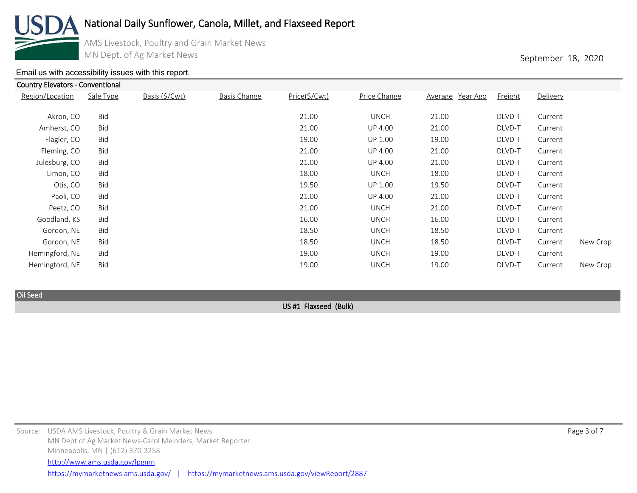

Country Elevators - Conventional

# National Daily Sunflower, Canola, Millet, and Flaxseed Report

AMS Livestock, Poultry and Grain Market News MN Dept. of Ag Market News **September 18, 2020** 

#### [Email us with accessibility issues with this report.](mailto:mars@ams.usda.gov?subjectNot%20able%20to%20access%20video%20auction%20report)

| Region/Location | Sale Type  | Basis (\$/Cwt) | <b>Basis Change</b> | Price(\$/Cwt) | Price Change   | Average Year Ago | Freight | Delivery |          |
|-----------------|------------|----------------|---------------------|---------------|----------------|------------------|---------|----------|----------|
| Akron, CO       | Bid        |                |                     | 21.00         | <b>UNCH</b>    | 21.00            | DLVD-T  | Current  |          |
| Amherst, CO     | Bid        |                |                     | 21.00         | <b>UP 4.00</b> | 21.00            | DLVD-T  | Current  |          |
| Flagler, CO     | Bid        |                |                     | 19.00         | <b>UP 1.00</b> | 19.00            | DLVD-T  | Current  |          |
| Fleming, CO     | <b>Bid</b> |                |                     | 21.00         | <b>UP 4.00</b> | 21.00            | DLVD-T  | Current  |          |
| Julesburg, CO   | Bid        |                |                     | 21.00         | <b>UP 4.00</b> | 21.00            | DLVD-T  | Current  |          |
| Limon, CO       | <b>Bid</b> |                |                     | 18.00         | <b>UNCH</b>    | 18.00            | DLVD-T  | Current  |          |
| Otis, CO        | <b>Bid</b> |                |                     | 19.50         | <b>UP 1.00</b> | 19.50            | DLVD-T  | Current  |          |
| Paoli, CO       | Bid        |                |                     | 21.00         | <b>UP 4.00</b> | 21.00            | DLVD-T  | Current  |          |
| Peetz, CO       | <b>Bid</b> |                |                     | 21.00         | <b>UNCH</b>    | 21.00            | DLVD-T  | Current  |          |
| Goodland, KS    | <b>Bid</b> |                |                     | 16.00         | <b>UNCH</b>    | 16.00            | DLVD-T  | Current  |          |
| Gordon, NE      | Bid        |                |                     | 18.50         | <b>UNCH</b>    | 18.50            | DLVD-T  | Current  |          |
| Gordon, NE      | <b>Bid</b> |                |                     | 18.50         | <b>UNCH</b>    | 18.50            | DLVD-T  | Current  | New Crop |
| Hemingford, NE  | Bid        |                |                     | 19.00         | <b>UNCH</b>    | 19.00            | DLVD-T  | Current  |          |
| Hemingford, NE  | Bid        |                |                     | 19.00         | <b>UNCH</b>    | 19.00            | DLVD-T  | Current  | New Crop |
|                 |            |                |                     |               |                |                  |         |          |          |

Oil Seed

US #1 Flaxseed (Bulk)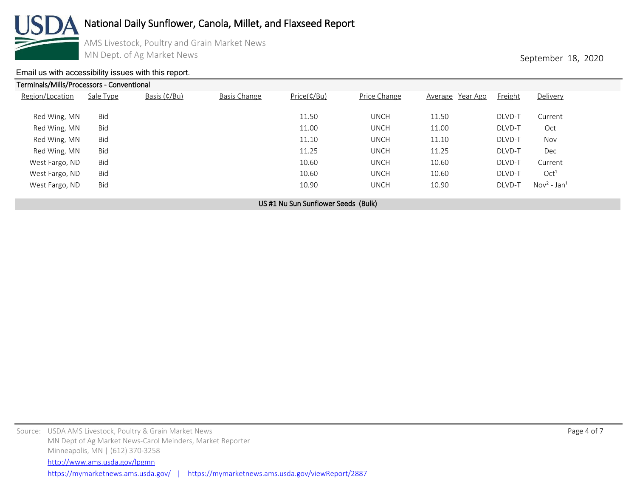

AMS Livestock, Poultry and Grain Market News MN Dept. of Ag Market News **September 18, 2020** 

#### [Email us with accessibility issues with this report.](mailto:mars@ams.usda.gov?subjectNot%20able%20to%20access%20video%20auction%20report)

Terminals/Mills/Processors - Conventional Region/Location Sale Type Basis (¢/Bu) Basis Change Price(¢/Bu) Price Change Average Year Ago Freight Delivery Red Wing, MN Bid 11.50 UNCH 11.50 DLVD-T Current Red Wing, MN Bid 11.00 UNCH 11.00 DLVD-T Oct Red Wing, MN Bid 11.10 UNCH 11.10 DLVD-T Nov Red Wing, MN Bid 11.25 UNCH 11.25 DLVD-T Dec West Fargo, ND Bid 10.60 UNCH 10.60 DLVD-T Current West Fargo, ND Bid 10.60 UNCH 10.60 DLVD-T Oct<sup>1</sup> West Fargo, ND  $Bid$  Bid 200  $Dd$  Bid 10.90  $Dd$  UNCH  $Dd$  DLVD-T Nov<sup>2</sup> - Jan<sup>1</sup>

US #1 Nu Sun Sunflower Seeds (Bulk)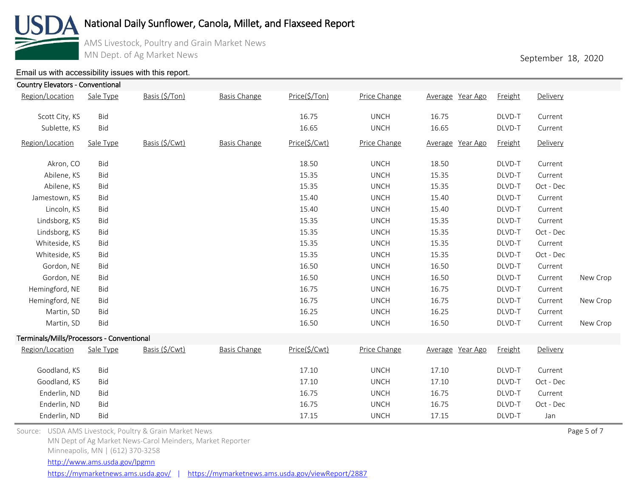

AMS Livestock, Poultry and Grain Market News MN Dept. of Ag Market News **September 18, 2020** 

### [Email us with accessibility issues with this report.](mailto:mars@ams.usda.gov?subjectNot%20able%20to%20access%20video%20auction%20report)

| <b>Country Elevators - Conventional</b>   |            |                |                     |               |              |                  |                |           |          |
|-------------------------------------------|------------|----------------|---------------------|---------------|--------------|------------------|----------------|-----------|----------|
| Region/Location                           | Sale Type  | Basis (\$/Ton) | <b>Basis Change</b> | Price(\$/Ton) | Price Change | Average Year Ago | Freight        | Delivery  |          |
| Scott City, KS                            | Bid        |                |                     | 16.75         | <b>UNCH</b>  | 16.75            | DLVD-T         | Current   |          |
| Sublette, KS                              | Bid        |                |                     | 16.65         | <b>UNCH</b>  | 16.65            | DLVD-T         | Current   |          |
| Region/Location                           | Sale Type  | Basis (\$/Cwt) | <b>Basis Change</b> | Price(\$/Cwt) | Price Change | Average Year Ago | <b>Freight</b> | Delivery  |          |
| Akron, CO                                 | Bid        |                |                     | 18.50         | <b>UNCH</b>  | 18.50            | DLVD-T         | Current   |          |
| Abilene, KS                               | Bid        |                |                     | 15.35         | <b>UNCH</b>  | 15.35            | DLVD-T         | Current   |          |
| Abilene, KS                               | Bid        |                |                     | 15.35         | <b>UNCH</b>  | 15.35            | DLVD-T         | Oct - Dec |          |
| Jamestown, KS                             | Bid        |                |                     | 15.40         | <b>UNCH</b>  | 15.40            | DLVD-T         | Current   |          |
| Lincoln, KS                               | Bid        |                |                     | 15.40         | <b>UNCH</b>  | 15.40            | DLVD-T         | Current   |          |
| Lindsborg, KS                             | Bid        |                |                     | 15.35         | <b>UNCH</b>  | 15.35            | DLVD-T         | Current   |          |
| Lindsborg, KS                             | Bid        |                |                     | 15.35         | <b>UNCH</b>  | 15.35            | DLVD-T         | Oct - Dec |          |
| Whiteside, KS                             | Bid        |                |                     | 15.35         | <b>UNCH</b>  | 15.35            | DLVD-T         | Current   |          |
| Whiteside, KS                             | Bid        |                |                     | 15.35         | <b>UNCH</b>  | 15.35            | DLVD-T         | Oct - Dec |          |
| Gordon, NE                                | Bid        |                |                     | 16.50         | <b>UNCH</b>  | 16.50            | DLVD-T         | Current   |          |
| Gordon, NE                                | Bid        |                |                     | 16.50         | <b>UNCH</b>  | 16.50            | DLVD-T         | Current   | New Crop |
| Hemingford, NE                            | Bid        |                |                     | 16.75         | <b>UNCH</b>  | 16.75            | DLVD-T         | Current   |          |
| Hemingford, NE                            | Bid        |                |                     | 16.75         | <b>UNCH</b>  | 16.75            | DLVD-T         | Current   | New Crop |
| Martin, SD                                | Bid        |                |                     | 16.25         | <b>UNCH</b>  | 16.25            | DLVD-T         | Current   |          |
| Martin, SD                                | Bid        |                |                     | 16.50         | <b>UNCH</b>  | 16.50            | DLVD-T         | Current   | New Crop |
| Terminals/Mills/Processors - Conventional |            |                |                     |               |              |                  |                |           |          |
| Region/Location                           | Sale Type  | Basis (\$/Cwt) | <b>Basis Change</b> | Price(\$/Cwt) | Price Change | Average Year Ago | Freight        | Delivery  |          |
| Goodland, KS                              | Bid        |                |                     | 17.10         | <b>UNCH</b>  | 17.10            | DLVD-T         | Current   |          |
| Goodland, KS                              | Bid        |                |                     | 17.10         | <b>UNCH</b>  | 17.10            | DLVD-T         | Oct - Dec |          |
| Enderlin, ND                              | Bid        |                |                     | 16.75         | <b>UNCH</b>  | 16.75            | DLVD-T         | Current   |          |
| Enderlin, ND                              | Bid        |                |                     | 16.75         | <b>UNCH</b>  | 16.75            | DLVD-T         | Oct - Dec |          |
| Enderlin, ND                              | <b>Bid</b> |                |                     | 17.15         | <b>UNCH</b>  | 17.15            | DLVD-T         | Jan       |          |

Source: USDA AMS Livestock, Poultry & Grain Market News Page 5 of 7 (Separation 2) and the USDA AMS Livestock, Poultry & Grain Market News Page 5 of 7 MN Dept of Ag Market News-Carol Meinders, Market Reporter

Minneapolis, MN | (612) 370-3258

<http://www.ams.usda.gov/lpgmn>

<https://mymarketnews.ams.usda.gov/> | <https://mymarketnews.ams.usda.gov/viewReport/2887>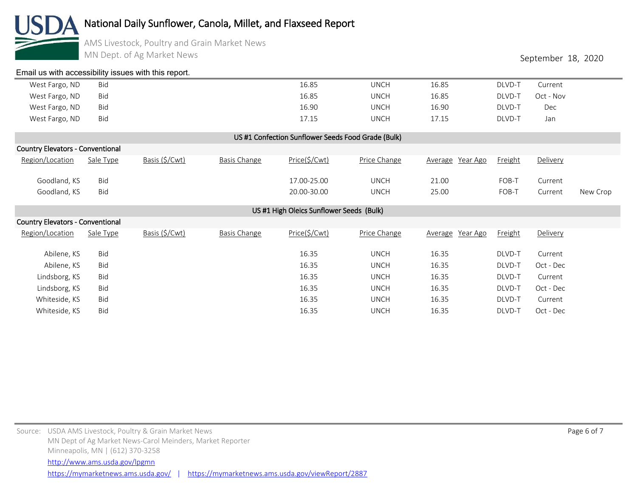

AMS Livestock, Poultry and Grain Market News MN Dept. of Ag Market News **September 18, 2020** 

| Email us with accessibility issues with this report. |            |                |                     |               |              |                  |                |           |          |  |  |
|------------------------------------------------------|------------|----------------|---------------------|---------------|--------------|------------------|----------------|-----------|----------|--|--|
| West Fargo, ND                                       | Bid        |                |                     | 16.85         | <b>UNCH</b>  | 16.85            | DLVD-T         | Current   |          |  |  |
| West Fargo, ND                                       | Bid        |                |                     | 16.85         | <b>UNCH</b>  | 16.85            | DLVD-T         | Oct - Nov |          |  |  |
| West Fargo, ND                                       | <b>Bid</b> |                |                     | 16.90         | <b>UNCH</b>  | 16.90            | DLVD-T         | Dec       |          |  |  |
| West Fargo, ND                                       | <b>Bid</b> |                |                     | 17.15         | <b>UNCH</b>  | 17.15            | DLVD-T         | Jan       |          |  |  |
| US #1 Confection Sunflower Seeds Food Grade (Bulk)   |            |                |                     |               |              |                  |                |           |          |  |  |
| <b>Country Elevators - Conventional</b>              |            |                |                     |               |              |                  |                |           |          |  |  |
| Region/Location                                      | Sale Type  | Basis (\$/Cwt) | <b>Basis Change</b> | Price(\$/Cwt) | Price Change | Average Year Ago | <b>Freight</b> | Delivery  |          |  |  |
| Goodland, KS                                         | Bid        |                |                     | 17.00-25.00   | <b>UNCH</b>  | 21.00            | FOB-T          | Current   |          |  |  |
| Goodland, KS                                         | <b>Bid</b> |                |                     | 20.00-30.00   | <b>UNCH</b>  | 25.00            | FOB-T          | Current   | New Crop |  |  |
| US #1 High Oleics Sunflower Seeds (Bulk)             |            |                |                     |               |              |                  |                |           |          |  |  |
| <b>Country Elevators - Conventional</b>              |            |                |                     |               |              |                  |                |           |          |  |  |
| Region/Location                                      | Sale Type  | Basis (\$/Cwt) | <b>Basis Change</b> | Price(\$/Cwt) | Price Change | Average Year Ago | Freight        | Delivery  |          |  |  |

| Abilene, KS   | <b>Bid</b> | 16.35 | <b>UNCH</b> | 16.35 | DLVD-T | Current   |
|---------------|------------|-------|-------------|-------|--------|-----------|
| Abilene, KS   | Bid        | 16.35 | <b>UNCH</b> | 16.35 | DLVD-T | Oct - Dec |
| Lindsborg, KS | Bid        | 16.35 | <b>UNCH</b> | 16.35 | DLVD-T | Current   |
| Lindsborg, KS | Bid        | 16.35 | <b>UNCH</b> | 16.35 | DLVD-T | Oct - Dec |
| Whiteside, KS | Bid        | 16.35 | <b>UNCH</b> | 16.35 | DLVD-T | Current   |
| Whiteside, KS | Bid        | 16.35 | <b>UNCH</b> | 16.35 | DLVD-T | Oct - Dec |